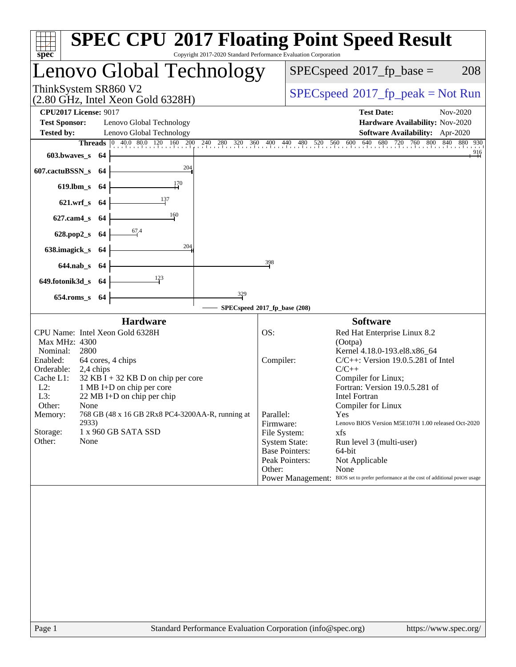| $spec^*$                                                                                                                                                                                                                                                                                               | <b>SPEC CPU®2017 Floating Point Speed Result</b><br>Copyright 2017-2020 Standard Performance Evaluation Corporation                                                                                                                                                                                                                               |  |  |  |
|--------------------------------------------------------------------------------------------------------------------------------------------------------------------------------------------------------------------------------------------------------------------------------------------------------|---------------------------------------------------------------------------------------------------------------------------------------------------------------------------------------------------------------------------------------------------------------------------------------------------------------------------------------------------|--|--|--|
| Lenovo Global Technology                                                                                                                                                                                                                                                                               | $SPEC speed^{\circ}2017\_fp\_base =$<br>208                                                                                                                                                                                                                                                                                                       |  |  |  |
| ThinkSystem SR860 V2<br>$(2.80 \text{ GHz}, \text{Intel Xeon Gold } 6328\text{H})$                                                                                                                                                                                                                     | $SPEC speed^{\circ}2017\_fp\_peak = Not Run$                                                                                                                                                                                                                                                                                                      |  |  |  |
| <b>CPU2017 License: 9017</b><br><b>Test Sponsor:</b><br>Lenovo Global Technology<br><b>Tested by:</b><br>Lenovo Global Technology<br>603.bwaves s 64                                                                                                                                                   | <b>Test Date:</b><br>Nov-2020<br>Hardware Availability: Nov-2020<br>Software Availability: Apr-2020<br><b>Threads</b> $\begin{bmatrix} 0 & 40.0 & 80.0 & 120 & 160 & 200 & 240 & 280 & 320 & 360 & 400 & 440 & 480 & 520 & 560 & 600 & 640 & 680 & 720 & 760 & 800 & 840 & 880 & 930 \end{bmatrix}$<br>$\frac{916}{9}$                            |  |  |  |
| 204<br>607.cactuBSSN_s<br>-64<br>619.lbm_s 64<br>137<br>621.wrf_s 64                                                                                                                                                                                                                                   |                                                                                                                                                                                                                                                                                                                                                   |  |  |  |
| 160<br>$627$ .cam $4$ <sub>S</sub><br>- 64<br>$\frac{67.4}{2}$<br>628.pop2_s 64<br>204<br>638.imagick_s 64                                                                                                                                                                                             |                                                                                                                                                                                                                                                                                                                                                   |  |  |  |
| 644.nab_s 64<br>$\frac{123}{2}$<br>649.fotonik3d_s 64<br>329<br>654.roms_s 64                                                                                                                                                                                                                          | 398                                                                                                                                                                                                                                                                                                                                               |  |  |  |
|                                                                                                                                                                                                                                                                                                        | SPECspeed®2017_fp_base (208)                                                                                                                                                                                                                                                                                                                      |  |  |  |
| <b>Hardware</b><br>CPU Name: Intel Xeon Gold 6328H<br>Max MHz: 4300<br>Nominal:<br>2800<br>Enabled:<br>64 cores, 4 chips<br>Orderable:<br>2,4 chips<br>Cache L1:<br>$32$ KB I + 32 KB D on chip per core<br>$L2$ :<br>1 MB I+D on chip per core<br>L3:<br>22 MB I+D on chip per chip<br>Other:<br>None | <b>Software</b><br>OS:<br>Red Hat Enterprise Linux 8.2<br>(Ootpa)<br>Kernel 4.18.0-193.el8.x86_64<br>Compiler:<br>$C/C++$ : Version 19.0.5.281 of Intel<br>$C/C++$<br>Compiler for Linux;<br>Fortran: Version 19.0.5.281 of<br>Intel Fortran<br>Compiler for Linux                                                                                |  |  |  |
| 768 GB (48 x 16 GB 2Rx8 PC4-3200AA-R, running at<br>Memory:<br>2933)<br>Storage:<br>1 x 960 GB SATA SSD<br>Other:<br>None                                                                                                                                                                              | Parallel:<br>Yes<br>Firmware:<br>Lenovo BIOS Version M5E107H 1.00 released Oct-2020<br>File System:<br>xfs<br><b>System State:</b><br>Run level 3 (multi-user)<br><b>Base Pointers:</b><br>64-bit<br>Peak Pointers:<br>Not Applicable<br>None<br>Other:<br>Power Management: BIOS set to prefer performance at the cost of additional power usage |  |  |  |
|                                                                                                                                                                                                                                                                                                        |                                                                                                                                                                                                                                                                                                                                                   |  |  |  |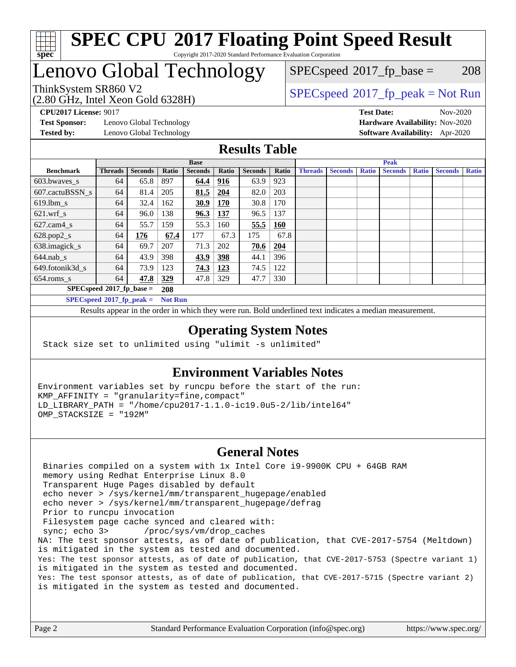

## Lenovo Global Technology

 $SPECspeed^{\circledcirc}2017_fp\_base = 208$  $SPECspeed^{\circledcirc}2017_fp\_base = 208$ 

(2.80 GHz, Intel Xeon Gold 6328H)

ThinkSystem SR860 V2<br>  $\begin{array}{c}\n\text{SPEC speed} \text{?}2017\_fp\_peak = Not Run \\
\text{SPEC speed} \text{?}2017\_fp\_peak = Not Run\n\end{array}$ 

**[Test Sponsor:](http://www.spec.org/auto/cpu2017/Docs/result-fields.html#TestSponsor)** Lenovo Global Technology **[Hardware Availability:](http://www.spec.org/auto/cpu2017/Docs/result-fields.html#HardwareAvailability)** Nov-2020

**[CPU2017 License:](http://www.spec.org/auto/cpu2017/Docs/result-fields.html#CPU2017License)** 9017 **[Test Date:](http://www.spec.org/auto/cpu2017/Docs/result-fields.html#TestDate)** Nov-2020 **[Tested by:](http://www.spec.org/auto/cpu2017/Docs/result-fields.html#Testedby)** Lenovo Global Technology **[Software Availability:](http://www.spec.org/auto/cpu2017/Docs/result-fields.html#SoftwareAvailability)** Apr-2020

#### **[Results Table](http://www.spec.org/auto/cpu2017/Docs/result-fields.html#ResultsTable)**

| <b>Base</b>                                   |                             |                |              | <b>Peak</b>    |            |                |            |                |                |              |                |              |                |              |
|-----------------------------------------------|-----------------------------|----------------|--------------|----------------|------------|----------------|------------|----------------|----------------|--------------|----------------|--------------|----------------|--------------|
| <b>Benchmark</b>                              | <b>Threads</b>              | <b>Seconds</b> | <b>Ratio</b> | <b>Seconds</b> | Ratio      | <b>Seconds</b> | Ratio      | <b>Threads</b> | <b>Seconds</b> | <b>Ratio</b> | <b>Seconds</b> | <b>Ratio</b> | <b>Seconds</b> | <b>Ratio</b> |
| 603.bwayes s                                  | 64                          | 65.8           | 897          | 64.4           | <u>916</u> | 63.9           | 923        |                |                |              |                |              |                |              |
| 607.cactuBSSN s                               | 64                          | 81.4           | 205          | 81.5           | 204        | 82.0           | 203        |                |                |              |                |              |                |              |
| $619.$ lbm s                                  | 64                          | 32.4           | 162          | 30.9           | 170        | 30.8           | 170        |                |                |              |                |              |                |              |
| $621.wrf$ s                                   | 64                          | 96.0           | 138          | 96.3           | 137        | 96.5           | 137        |                |                |              |                |              |                |              |
| $627$ .cam4 s                                 | 64                          | 55.7           | 159          | 55.3           | 160        | 55.5           | <b>160</b> |                |                |              |                |              |                |              |
| $628.pop2_s$                                  | 64                          | 176            | 67.4         | 177            | 67.3       | 175            | 67.8       |                |                |              |                |              |                |              |
| 638.imagick_s                                 | 64                          | 69.7           | 207          | 71.3           | 202        | 70.6           | 204        |                |                |              |                |              |                |              |
| $644$ .nab s                                  | 64                          | 43.9           | 398          | 43.9           | <u>398</u> | 44.1           | 396        |                |                |              |                |              |                |              |
| 649.fotonik3d s                               | 64                          | 73.9           | 123          | 74.3           | 123        | 74.5           | 122        |                |                |              |                |              |                |              |
| $654$ .roms s                                 | 64                          | 47.8           | 329          | 47.8           | 329        | 47.7           | 330        |                |                |              |                |              |                |              |
|                                               | $SPECspeed*2017_fp\_base =$ |                | 208          |                |            |                |            |                |                |              |                |              |                |              |
| $SPECspeed*2017_fp\_peak =$<br><b>Not Run</b> |                             |                |              |                |            |                |            |                |                |              |                |              |                |              |

Results appear in the [order in which they were run.](http://www.spec.org/auto/cpu2017/Docs/result-fields.html#RunOrder) Bold underlined text [indicates a median measurement](http://www.spec.org/auto/cpu2017/Docs/result-fields.html#Median).

#### **[Operating System Notes](http://www.spec.org/auto/cpu2017/Docs/result-fields.html#OperatingSystemNotes)**

Stack size set to unlimited using "ulimit -s unlimited"

#### **[Environment Variables Notes](http://www.spec.org/auto/cpu2017/Docs/result-fields.html#EnvironmentVariablesNotes)**

Environment variables set by runcpu before the start of the run: KMP\_AFFINITY = "granularity=fine,compact" LD\_LIBRARY\_PATH = "/home/cpu2017-1.1.0-ic19.0u5-2/lib/intel64" OMP\_STACKSIZE = "192M"

#### **[General Notes](http://www.spec.org/auto/cpu2017/Docs/result-fields.html#GeneralNotes)**

 Binaries compiled on a system with 1x Intel Core i9-9900K CPU + 64GB RAM memory using Redhat Enterprise Linux 8.0 Transparent Huge Pages disabled by default echo never > /sys/kernel/mm/transparent\_hugepage/enabled echo never > /sys/kernel/mm/transparent\_hugepage/defrag Prior to runcpu invocation Filesystem page cache synced and cleared with: sync; echo 3> /proc/sys/vm/drop\_caches NA: The test sponsor attests, as of date of publication, that CVE-2017-5754 (Meltdown) is mitigated in the system as tested and documented. Yes: The test sponsor attests, as of date of publication, that CVE-2017-5753 (Spectre variant 1) is mitigated in the system as tested and documented. Yes: The test sponsor attests, as of date of publication, that CVE-2017-5715 (Spectre variant 2) is mitigated in the system as tested and documented.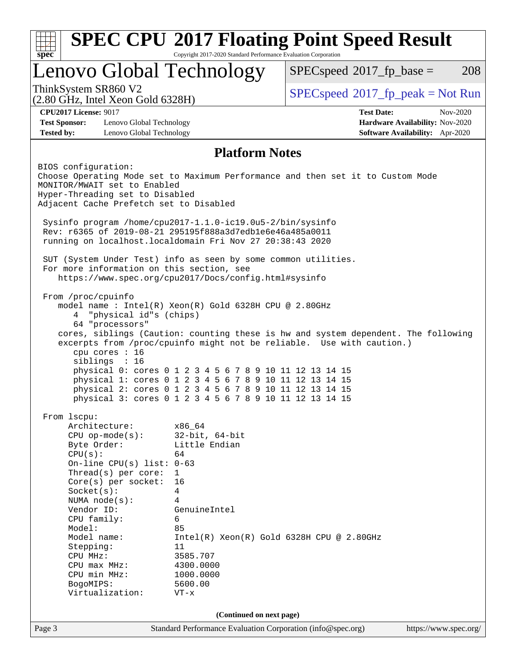| $spec^*$                                                                                                                                                                                                                                                                                                                                             | Copyright 2017-2020 Standard Performance Evaluation Corporation                                                                                                                                                                          | <b>SPEC CPU®2017 Floating Point Speed Result</b>                                                                                                            |                                                                                |
|------------------------------------------------------------------------------------------------------------------------------------------------------------------------------------------------------------------------------------------------------------------------------------------------------------------------------------------------------|------------------------------------------------------------------------------------------------------------------------------------------------------------------------------------------------------------------------------------------|-------------------------------------------------------------------------------------------------------------------------------------------------------------|--------------------------------------------------------------------------------|
|                                                                                                                                                                                                                                                                                                                                                      | Lenovo Global Technology                                                                                                                                                                                                                 |                                                                                                                                                             | 208<br>$SPEC speed^{\circ}2017\_fp\_base =$                                    |
| ThinkSystem SR860 V2<br>$(2.80 \text{ GHz}, \text{Intel Xeon Gold } 6328\text{H})$                                                                                                                                                                                                                                                                   |                                                                                                                                                                                                                                          | $SPEC speed^{\circ}2017\_fp\_peak = Not Run$                                                                                                                |                                                                                |
| <b>CPU2017 License: 9017</b><br><b>Test Sponsor:</b><br>Lenovo Global Technology<br><b>Tested by:</b><br>Lenovo Global Technology                                                                                                                                                                                                                    |                                                                                                                                                                                                                                          | <b>Test Date:</b>                                                                                                                                           | Nov-2020<br>Hardware Availability: Nov-2020<br>Software Availability: Apr-2020 |
|                                                                                                                                                                                                                                                                                                                                                      | <b>Platform Notes</b>                                                                                                                                                                                                                    |                                                                                                                                                             |                                                                                |
| BIOS configuration:<br>Choose Operating Mode set to Maximum Performance and then set it to Custom Mode<br>MONITOR/MWAIT set to Enabled<br>Hyper-Threading set to Disabled<br>Adjacent Cache Prefetch set to Disabled                                                                                                                                 |                                                                                                                                                                                                                                          |                                                                                                                                                             |                                                                                |
| Sysinfo program /home/cpu2017-1.1.0-ic19.0u5-2/bin/sysinfo<br>Rev: r6365 of 2019-08-21 295195f888a3d7edble6e46a485a0011<br>running on localhost.localdomain Fri Nov 27 20:38:43 2020                                                                                                                                                                 |                                                                                                                                                                                                                                          |                                                                                                                                                             |                                                                                |
| SUT (System Under Test) info as seen by some common utilities.<br>For more information on this section, see<br>https://www.spec.org/cpu2017/Docs/config.html#sysinfo                                                                                                                                                                                 |                                                                                                                                                                                                                                          |                                                                                                                                                             |                                                                                |
| From /proc/cpuinfo<br>model name: $Intel(R)$ Xeon(R) Gold 6328H CPU @ 2.80GHz<br>"physical id"s (chips)<br>4<br>64 "processors"<br>cpu cores : 16<br>siblings : 16                                                                                                                                                                                   | physical 0: cores 0 1 2 3 4 5 6 7 8 9 10 11 12 13 14 15<br>physical 1: cores 0 1 2 3 4 5 6 7 8 9 10 11 12 13 14 15<br>physical 2: cores 0 1 2 3 4 5 6 7 8 9 10 11 12 13 14 15<br>physical 3: cores 0 1 2 3 4 5 6 7 8 9 10 11 12 13 14 15 | cores, siblings (Caution: counting these is hw and system dependent. The following<br>excerpts from /proc/cpuinfo might not be reliable. Use with caution.) |                                                                                |
| From 1scpu:<br>Architecture:<br>$CPU$ op-mode( $s$ ):<br>Byte Order:<br>CPU(s):<br>On-line CPU(s) list: $0-63$<br>Thread(s) per core:<br>$Core(s)$ per socket:<br>Socket(s):<br>NUMA $node(s)$ :<br>Vendor ID:<br>CPU family:<br>Model:<br>Model name:<br>Stepping:<br>CPU MHz:<br>$CPU$ max $MHz$ :<br>CPU min MHz:<br>BogoMIPS:<br>Virtualization: | x86_64<br>$32$ -bit, $64$ -bit<br>Little Endian<br>64<br>$\mathbf{1}$<br>16<br>$\overline{4}$<br>4<br>GenuineIntel<br>6<br>85<br>11<br>3585.707<br>4300.0000<br>1000.0000<br>5600.00<br>$VT - x$                                         | $Intel(R) Xeon(R) Gold 6328H CPU @ 2.80GHz$                                                                                                                 |                                                                                |
|                                                                                                                                                                                                                                                                                                                                                      | (Continued on next page)                                                                                                                                                                                                                 |                                                                                                                                                             |                                                                                |
| Page 3                                                                                                                                                                                                                                                                                                                                               | Standard Performance Evaluation Corporation (info@spec.org)                                                                                                                                                                              |                                                                                                                                                             | https://www.spec.org/                                                          |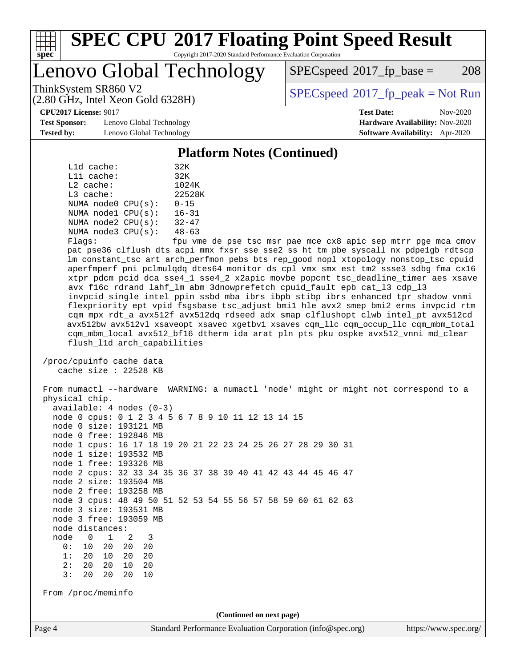

Lenovo Global Technology

 $SPEC speed^{\circ}2017\_fp\_base = 208$ 

(2.80 GHz, Intel Xeon Gold 6328H)

ThinkSystem SR860 V2<br>  $\begin{array}{c}\n\text{SPEC speed} \text{°2017\_fp\_peak} = \text{Not Run} \\
\text{SPEC speed} \text{°2017\_fp\_peak} = \text{Not Run} \\
\end{array}$ 

**[CPU2017 License:](http://www.spec.org/auto/cpu2017/Docs/result-fields.html#CPU2017License)** 9017 **[Test Date:](http://www.spec.org/auto/cpu2017/Docs/result-fields.html#TestDate)** Nov-2020

**[Test Sponsor:](http://www.spec.org/auto/cpu2017/Docs/result-fields.html#TestSponsor)** Lenovo Global Technology **[Hardware Availability:](http://www.spec.org/auto/cpu2017/Docs/result-fields.html#HardwareAvailability)** Nov-2020 **[Tested by:](http://www.spec.org/auto/cpu2017/Docs/result-fields.html#Testedby)** Lenovo Global Technology **[Software Availability:](http://www.spec.org/auto/cpu2017/Docs/result-fields.html#SoftwareAvailability)** Apr-2020

**[Platform Notes \(Continued\)](http://www.spec.org/auto/cpu2017/Docs/result-fields.html#PlatformNotes)**

| L1d cache:  |                         | 32K       |
|-------------|-------------------------|-----------|
| Lli cache:  |                         | 32K       |
| $L2$ cache: |                         | 1024K     |
| $L3$ cache: |                         | 22528K    |
|             | NUMA node0 CPU(s):      | $0 - 15$  |
|             | NUMA $node1$ $CPU(s)$ : | $16 - 31$ |
|             | NUMA $node2$ $CPU(s)$ : | $32 - 47$ |
|             | NUMA node3 CPU(s):      | $48 - 63$ |
|             |                         |           |

Flags: fpu vme de pse tsc msr pae mce cx8 apic sep mtrr pge mca cmov pat pse36 clflush dts acpi mmx fxsr sse sse2 ss ht tm pbe syscall nx pdpe1gb rdtscp lm constant\_tsc art arch\_perfmon pebs bts rep\_good nopl xtopology nonstop\_tsc cpuid aperfmperf pni pclmulqdq dtes64 monitor ds\_cpl vmx smx est tm2 ssse3 sdbg fma cx16 xtpr pdcm pcid dca sse4\_1 sse4\_2 x2apic movbe popcnt tsc\_deadline\_timer aes xsave avx f16c rdrand lahf\_lm abm 3dnowprefetch cpuid\_fault epb cat\_l3 cdp\_l3 invpcid\_single intel\_ppin ssbd mba ibrs ibpb stibp ibrs\_enhanced tpr\_shadow vnmi flexpriority ept vpid fsgsbase tsc\_adjust bmi1 hle avx2 smep bmi2 erms invpcid rtm cqm mpx rdt\_a avx512f avx512dq rdseed adx smap clflushopt clwb intel\_pt avx512cd avx512bw avx512vl xsaveopt xsavec xgetbv1 xsaves cqm\_llc cqm\_occup\_llc cqm\_mbm\_total cqm\_mbm\_local avx512\_bf16 dtherm ida arat pln pts pku ospke avx512\_vnni md\_clear flush\_l1d arch\_capabilities

 /proc/cpuinfo cache data cache size : 22528 KB

Page 4 Standard Performance Evaluation Corporation [\(info@spec.org\)](mailto:info@spec.org) <https://www.spec.org/> From numactl --hardware WARNING: a numactl 'node' might or might not correspond to a physical chip. available: 4 nodes (0-3) node 0 cpus: 0 1 2 3 4 5 6 7 8 9 10 11 12 13 14 15 node 0 size: 193121 MB node 0 free: 192846 MB node 1 cpus: 16 17 18 19 20 21 22 23 24 25 26 27 28 29 30 31 node 1 size: 193532 MB node 1 free: 193326 MB node 2 cpus: 32 33 34 35 36 37 38 39 40 41 42 43 44 45 46 47 node 2 size: 193504 MB node 2 free: 193258 MB node 3 cpus: 48 49 50 51 52 53 54 55 56 57 58 59 60 61 62 63 node 3 size: 193531 MB node 3 free: 193059 MB node distances: node 0 1 2 3 0: 10 20 20 20 1: 20 10 20 20 2: 20 20 10 20 3: 20 20 20 10 From /proc/meminfo **(Continued on next page)**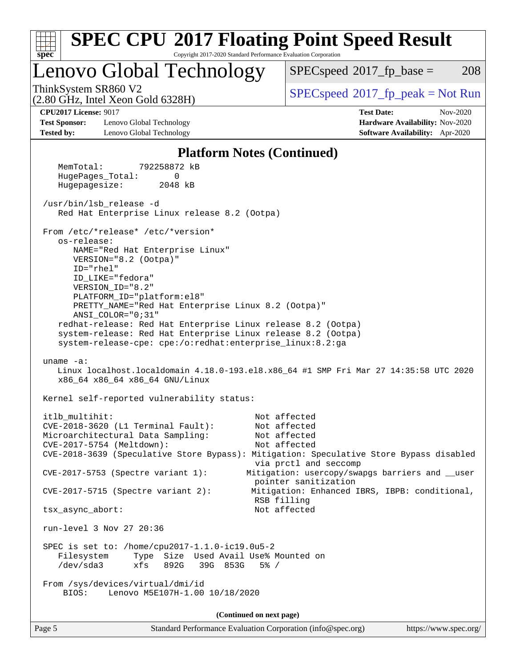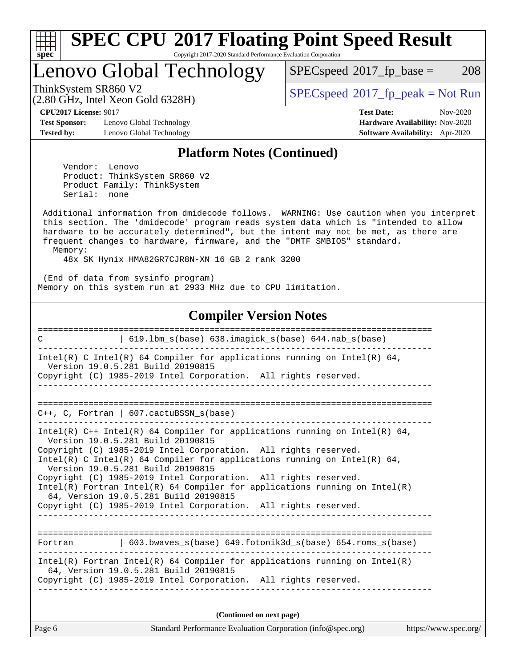

# **[SPEC CPU](http://www.spec.org/auto/cpu2017/Docs/result-fields.html#SPECCPU2017FloatingPointSpeedResult)[2017 Floating Point Speed Result](http://www.spec.org/auto/cpu2017/Docs/result-fields.html#SPECCPU2017FloatingPointSpeedResult)**

Copyright 2017-2020 Standard Performance Evaluation Corporation

Lenovo Global Technology

 $SPECspeed*2017_fp\_base = 208$  $SPECspeed*2017_fp\_base = 208$ 

(2.80 GHz, Intel Xeon Gold 6328H)

ThinkSystem SR860 V2<br>  $\begin{array}{c}\n\text{SPEC speed} \text{?}2017\_fp\_peak = Not Run \\
\text{SPEC speed} \text{?}2017\_fp\_peak = Not Run\n\end{array}$ 

**[Test Sponsor:](http://www.spec.org/auto/cpu2017/Docs/result-fields.html#TestSponsor)** Lenovo Global Technology **[Hardware Availability:](http://www.spec.org/auto/cpu2017/Docs/result-fields.html#HardwareAvailability)** Nov-2020 **[Tested by:](http://www.spec.org/auto/cpu2017/Docs/result-fields.html#Testedby)** Lenovo Global Technology **[Software Availability:](http://www.spec.org/auto/cpu2017/Docs/result-fields.html#SoftwareAvailability)** Apr-2020

**[CPU2017 License:](http://www.spec.org/auto/cpu2017/Docs/result-fields.html#CPU2017License)** 9017 **[Test Date:](http://www.spec.org/auto/cpu2017/Docs/result-fields.html#TestDate)** Nov-2020

#### **[Platform Notes \(Continued\)](http://www.spec.org/auto/cpu2017/Docs/result-fields.html#PlatformNotes)**

 Vendor: Lenovo Product: ThinkSystem SR860 V2 Product Family: ThinkSystem Serial: none

 Additional information from dmidecode follows. WARNING: Use caution when you interpret this section. The 'dmidecode' program reads system data which is "intended to allow hardware to be accurately determined", but the intent may not be met, as there are frequent changes to hardware, firmware, and the "DMTF SMBIOS" standard. Memory:

48x SK Hynix HMA82GR7CJR8N-XN 16 GB 2 rank 3200

 (End of data from sysinfo program) Memory on this system run at 2933 MHz due to CPU limitation.

#### **[Compiler Version Notes](http://www.spec.org/auto/cpu2017/Docs/result-fields.html#CompilerVersionNotes)**

| 619.1bm_s(base) 638.imagick_s(base) 644.nab_s(base)<br>$\mathcal{C}$                                                                                                                                                                                                                                                                                                                                                                                                                                                                                                 |
|----------------------------------------------------------------------------------------------------------------------------------------------------------------------------------------------------------------------------------------------------------------------------------------------------------------------------------------------------------------------------------------------------------------------------------------------------------------------------------------------------------------------------------------------------------------------|
| Intel(R) C Intel(R) 64 Compiler for applications running on Intel(R) 64,<br>Version 19.0.5.281 Build 20190815<br>Copyright (C) 1985-2019 Intel Corporation. All rights reserved.                                                                                                                                                                                                                                                                                                                                                                                     |
| $C_{++}$ , C, Fortran   607.cactuBSSN_s(base)                                                                                                                                                                                                                                                                                                                                                                                                                                                                                                                        |
| Intel(R) $C++$ Intel(R) 64 Compiler for applications running on Intel(R) 64,<br>Version 19.0.5.281 Build 20190815<br>Copyright (C) 1985-2019 Intel Corporation. All rights reserved.<br>Intel(R) C Intel(R) 64 Compiler for applications running on Intel(R) 64,<br>Version 19.0.5.281 Build 20190815<br>Copyright (C) 1985-2019 Intel Corporation. All rights reserved.<br>Intel(R) Fortran Intel(R) 64 Compiler for applications running on $Intel(R)$<br>64, Version 19.0.5.281 Build 20190815<br>Copyright (C) 1985-2019 Intel Corporation. All rights reserved. |
| Fortran (603.bwaves s(base) 649.fotonik3d s(base) 654.roms s(base)                                                                                                                                                                                                                                                                                                                                                                                                                                                                                                   |
| $Intel(R)$ Fortran Intel(R) 64 Compiler for applications running on Intel(R)<br>64, Version 19.0.5.281 Build 20190815<br>Copyright (C) 1985-2019 Intel Corporation. All rights reserved.                                                                                                                                                                                                                                                                                                                                                                             |
| (Continued on next page)                                                                                                                                                                                                                                                                                                                                                                                                                                                                                                                                             |

Page 6 Standard Performance Evaluation Corporation [\(info@spec.org\)](mailto:info@spec.org) <https://www.spec.org/>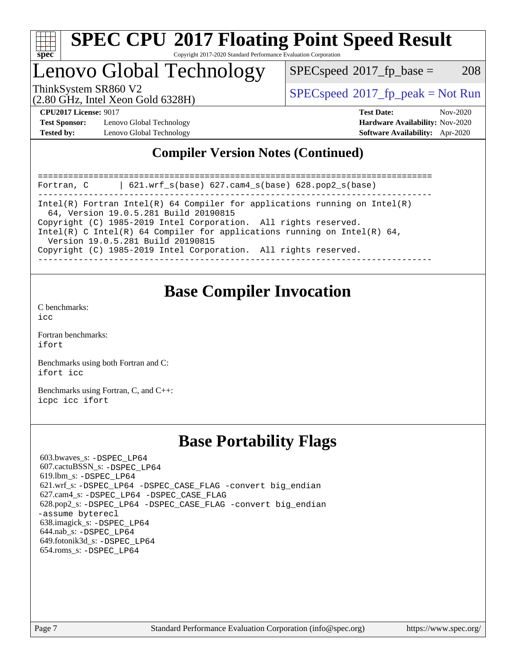

## Lenovo Global Technology

 $SPEC speed^{\circ}2017\_fp\_base = 208$ 

(2.80 GHz, Intel Xeon Gold 6328H)

ThinkSystem SR860 V2<br>  $\begin{array}{c} \text{SPEC speed} \text{?}2017 \text{ fp\_peak} = \text{Not Run} \end{array}$ 

**[Test Sponsor:](http://www.spec.org/auto/cpu2017/Docs/result-fields.html#TestSponsor)** Lenovo Global Technology **[Hardware Availability:](http://www.spec.org/auto/cpu2017/Docs/result-fields.html#HardwareAvailability)** Nov-2020 **[Tested by:](http://www.spec.org/auto/cpu2017/Docs/result-fields.html#Testedby)** Lenovo Global Technology **[Software Availability:](http://www.spec.org/auto/cpu2017/Docs/result-fields.html#SoftwareAvailability)** Apr-2020

**[CPU2017 License:](http://www.spec.org/auto/cpu2017/Docs/result-fields.html#CPU2017License)** 9017 **[Test Date:](http://www.spec.org/auto/cpu2017/Docs/result-fields.html#TestDate)** Nov-2020

### **[Compiler Version Notes \(Continued\)](http://www.spec.org/auto/cpu2017/Docs/result-fields.html#CompilerVersionNotes)**

============================================================================== Fortran, C | 621.wrf\_s(base) 627.cam4\_s(base) 628.pop2\_s(base) ------------------------------------------------------------------------------ Intel(R) Fortran Intel(R) 64 Compiler for applications running on Intel(R) 64, Version 19.0.5.281 Build 20190815 Copyright (C) 1985-2019 Intel Corporation. All rights reserved. Intel(R) C Intel(R) 64 Compiler for applications running on Intel(R)  $64$ , Version 19.0.5.281 Build 20190815 Copyright (C) 1985-2019 Intel Corporation. All rights reserved. ------------------------------------------------------------------------------

## **[Base Compiler Invocation](http://www.spec.org/auto/cpu2017/Docs/result-fields.html#BaseCompilerInvocation)**

[C benchmarks](http://www.spec.org/auto/cpu2017/Docs/result-fields.html#Cbenchmarks):  $i$ cc

[Fortran benchmarks](http://www.spec.org/auto/cpu2017/Docs/result-fields.html#Fortranbenchmarks): [ifort](http://www.spec.org/cpu2017/results/res2020q4/cpu2017-20201207-24546.flags.html#user_FCbase_intel_ifort_8111460550e3ca792625aed983ce982f94888b8b503583aa7ba2b8303487b4d8a21a13e7191a45c5fd58ff318f48f9492884d4413fa793fd88dd292cad7027ca)

[Benchmarks using both Fortran and C](http://www.spec.org/auto/cpu2017/Docs/result-fields.html#BenchmarksusingbothFortranandC): [ifort](http://www.spec.org/cpu2017/results/res2020q4/cpu2017-20201207-24546.flags.html#user_CC_FCbase_intel_ifort_8111460550e3ca792625aed983ce982f94888b8b503583aa7ba2b8303487b4d8a21a13e7191a45c5fd58ff318f48f9492884d4413fa793fd88dd292cad7027ca) [icc](http://www.spec.org/cpu2017/results/res2020q4/cpu2017-20201207-24546.flags.html#user_CC_FCbase_intel_icc_66fc1ee009f7361af1fbd72ca7dcefbb700085f36577c54f309893dd4ec40d12360134090235512931783d35fd58c0460139e722d5067c5574d8eaf2b3e37e92)

[Benchmarks using Fortran, C, and C++:](http://www.spec.org/auto/cpu2017/Docs/result-fields.html#BenchmarksusingFortranCandCXX) [icpc](http://www.spec.org/cpu2017/results/res2020q4/cpu2017-20201207-24546.flags.html#user_CC_CXX_FCbase_intel_icpc_c510b6838c7f56d33e37e94d029a35b4a7bccf4766a728ee175e80a419847e808290a9b78be685c44ab727ea267ec2f070ec5dc83b407c0218cded6866a35d07) [icc](http://www.spec.org/cpu2017/results/res2020q4/cpu2017-20201207-24546.flags.html#user_CC_CXX_FCbase_intel_icc_66fc1ee009f7361af1fbd72ca7dcefbb700085f36577c54f309893dd4ec40d12360134090235512931783d35fd58c0460139e722d5067c5574d8eaf2b3e37e92) [ifort](http://www.spec.org/cpu2017/results/res2020q4/cpu2017-20201207-24546.flags.html#user_CC_CXX_FCbase_intel_ifort_8111460550e3ca792625aed983ce982f94888b8b503583aa7ba2b8303487b4d8a21a13e7191a45c5fd58ff318f48f9492884d4413fa793fd88dd292cad7027ca)

## **[Base Portability Flags](http://www.spec.org/auto/cpu2017/Docs/result-fields.html#BasePortabilityFlags)**

 603.bwaves\_s: [-DSPEC\\_LP64](http://www.spec.org/cpu2017/results/res2020q4/cpu2017-20201207-24546.flags.html#suite_basePORTABILITY603_bwaves_s_DSPEC_LP64) 607.cactuBSSN\_s: [-DSPEC\\_LP64](http://www.spec.org/cpu2017/results/res2020q4/cpu2017-20201207-24546.flags.html#suite_basePORTABILITY607_cactuBSSN_s_DSPEC_LP64) 619.lbm\_s: [-DSPEC\\_LP64](http://www.spec.org/cpu2017/results/res2020q4/cpu2017-20201207-24546.flags.html#suite_basePORTABILITY619_lbm_s_DSPEC_LP64) 621.wrf\_s: [-DSPEC\\_LP64](http://www.spec.org/cpu2017/results/res2020q4/cpu2017-20201207-24546.flags.html#suite_basePORTABILITY621_wrf_s_DSPEC_LP64) [-DSPEC\\_CASE\\_FLAG](http://www.spec.org/cpu2017/results/res2020q4/cpu2017-20201207-24546.flags.html#b621.wrf_s_baseCPORTABILITY_DSPEC_CASE_FLAG) [-convert big\\_endian](http://www.spec.org/cpu2017/results/res2020q4/cpu2017-20201207-24546.flags.html#user_baseFPORTABILITY621_wrf_s_convert_big_endian_c3194028bc08c63ac5d04de18c48ce6d347e4e562e8892b8bdbdc0214820426deb8554edfa529a3fb25a586e65a3d812c835984020483e7e73212c4d31a38223) 627.cam4\_s: [-DSPEC\\_LP64](http://www.spec.org/cpu2017/results/res2020q4/cpu2017-20201207-24546.flags.html#suite_basePORTABILITY627_cam4_s_DSPEC_LP64) [-DSPEC\\_CASE\\_FLAG](http://www.spec.org/cpu2017/results/res2020q4/cpu2017-20201207-24546.flags.html#b627.cam4_s_baseCPORTABILITY_DSPEC_CASE_FLAG) 628.pop2\_s: [-DSPEC\\_LP64](http://www.spec.org/cpu2017/results/res2020q4/cpu2017-20201207-24546.flags.html#suite_basePORTABILITY628_pop2_s_DSPEC_LP64) [-DSPEC\\_CASE\\_FLAG](http://www.spec.org/cpu2017/results/res2020q4/cpu2017-20201207-24546.flags.html#b628.pop2_s_baseCPORTABILITY_DSPEC_CASE_FLAG) [-convert big\\_endian](http://www.spec.org/cpu2017/results/res2020q4/cpu2017-20201207-24546.flags.html#user_baseFPORTABILITY628_pop2_s_convert_big_endian_c3194028bc08c63ac5d04de18c48ce6d347e4e562e8892b8bdbdc0214820426deb8554edfa529a3fb25a586e65a3d812c835984020483e7e73212c4d31a38223) [-assume byterecl](http://www.spec.org/cpu2017/results/res2020q4/cpu2017-20201207-24546.flags.html#user_baseFPORTABILITY628_pop2_s_assume_byterecl_7e47d18b9513cf18525430bbf0f2177aa9bf368bc7a059c09b2c06a34b53bd3447c950d3f8d6c70e3faf3a05c8557d66a5798b567902e8849adc142926523472) 638.imagick\_s: [-DSPEC\\_LP64](http://www.spec.org/cpu2017/results/res2020q4/cpu2017-20201207-24546.flags.html#suite_basePORTABILITY638_imagick_s_DSPEC_LP64) 644.nab\_s: [-DSPEC\\_LP64](http://www.spec.org/cpu2017/results/res2020q4/cpu2017-20201207-24546.flags.html#suite_basePORTABILITY644_nab_s_DSPEC_LP64) 649.fotonik3d\_s: [-DSPEC\\_LP64](http://www.spec.org/cpu2017/results/res2020q4/cpu2017-20201207-24546.flags.html#suite_basePORTABILITY649_fotonik3d_s_DSPEC_LP64) 654.roms\_s: [-DSPEC\\_LP64](http://www.spec.org/cpu2017/results/res2020q4/cpu2017-20201207-24546.flags.html#suite_basePORTABILITY654_roms_s_DSPEC_LP64)